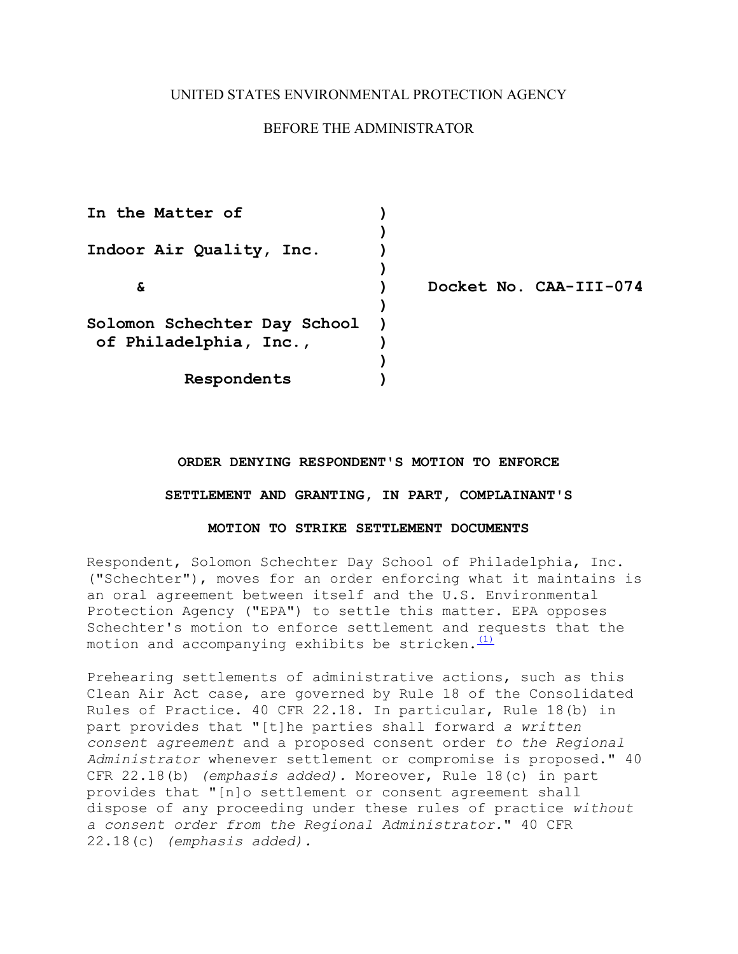## UNITED STATES ENVIRONMENTAL PROTECTION AGENCY

## BEFORE THE ADMINISTRATOR

| In the Matter of             |                        |
|------------------------------|------------------------|
|                              |                        |
| Indoor Air Quality, Inc.     |                        |
|                              |                        |
| δ.                           | Docket No. CAA-III-074 |
|                              |                        |
| Solomon Schechter Day School |                        |
| of Philadelphia, Inc.,       |                        |
|                              |                        |
| Respondents                  |                        |

# ORDER DENYING RESPONDENT'S MOTION TO ENFORCE **ORDER DENYING RESPONDENT'S MOTION TO ENFORCE SETTLEMENT AND GRANTING, IN PART, COMPLAINANT'S MOTION TO STRIKE SETTLEMENT DOCUMENTS**

### MOTION TO STRIKE SETTLEMENT DOCUMENTS

motion and accompanying exhibits be stricken. $\overline{\overset{(1)}{\phantom{\cdot}}\phantom{\rule{1.5cm}}}}$ Respondent, Solomon Schechter Day School of Philadelphia, Inc. ("Schechter"), moves for an order enforcing what it maintains is an oral agreement between itself and the U.S. Environmental Protection Agency ("EPA") to settle this matter. EPA opposes Schechter's motion to enforce settlement and requests that the

 22.18(c) *(emphasis added).* Prehearing settlements of administrative actions, such as this Clean Air Act case, are governed by Rule 18 of the Consolidated Rules of Practice. 40 CFR 22.18. In particular, Rule 18(b) in part provides that "[t]he parties shall forward *a written consent agreement* and a proposed consent order *to the Regional Administrator* whenever settlement or compromise is proposed." 40 CFR 22.18(b) *(emphasis added).* Moreover, Rule 18(c) in part provides that "[n]o settlement or consent agreement shall dispose of any proceeding under these rules of practice *without a consent order from the Regional Administrator.*" 40 CFR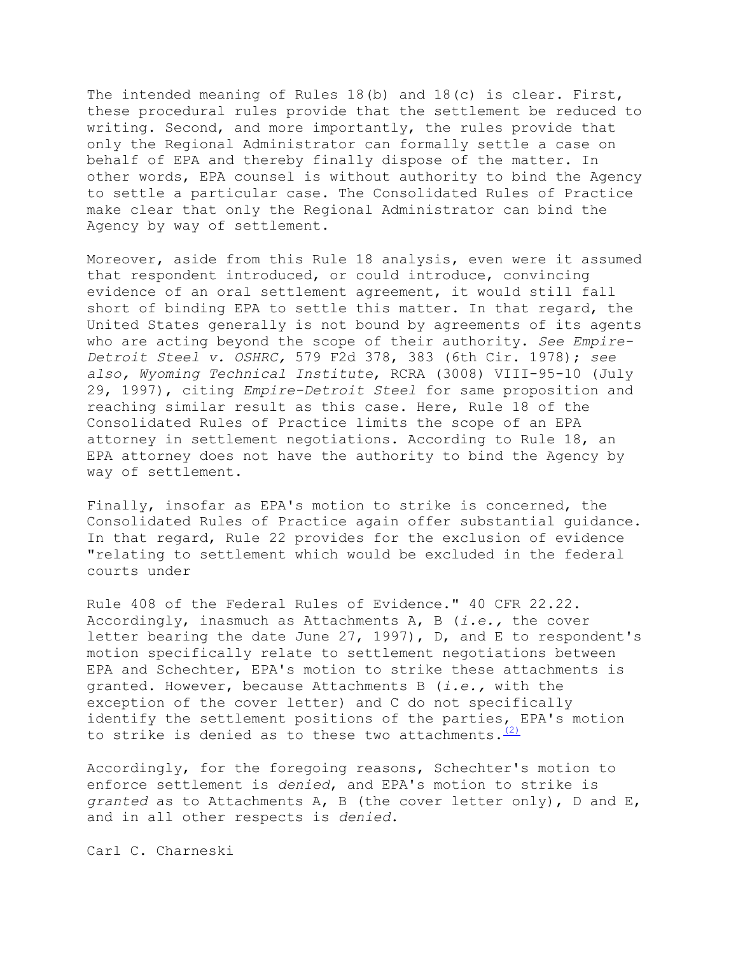The intended meaning of Rules 18(b) and 18(c) is clear. First, these procedural rules provide that the settlement be reduced to writing. Second, and more importantly, the rules provide that only the Regional Administrator can formally settle a case on behalf of EPA and thereby finally dispose of the matter. In other words, EPA counsel is without authority to bind the Agency to settle a particular case. The Consolidated Rules of Practice make clear that only the Regional Administrator can bind the Agency by way of settlement.

Moreover, aside from this Rule 18 analysis, even were it assumed that respondent introduced, or could introduce, convincing evidence of an oral settlement agreement, it would still fall short of binding EPA to settle this matter. In that regard, the United States generally is not bound by agreements of its agents who are acting beyond the scope of their authority. *See Empire-Detroit Steel v. OSHRC,* 579 F2d 378, 383 (6th Cir. 1978); *see also, Wyoming Technical Institute*, RCRA (3008) VIII-95-10 (July 29, 1997), citing *Empire-Detroit Steel* for same proposition and reaching similar result as this case. Here, Rule 18 of the Consolidated Rules of Practice limits the scope of an EPA attorney in settlement negotiations. According to Rule 18, an EPA attorney does not have the authority to bind the Agency by way of settlement.

Finally, insofar as EPA's motion to strike is concerned, the Consolidated Rules of Practice again offer substantial guidance. In that regard, Rule 22 provides for the exclusion of evidence "relating to settlement which would be excluded in the federal courts under

to strike is denied as to these two attachments.  $(2)$ Rule 408 of the Federal Rules of Evidence." 40 CFR 22.22. Accordingly, inasmuch as Attachments A, B (*i.e.,* the cover letter bearing the date June 27, 1997), D, and E to respondent's motion specifically relate to settlement negotiations between EPA and Schechter, EPA's motion to strike these attachments is granted. However, because Attachments B (*i.e.,* with the exception of the cover letter) and C do not specifically identify the settlement positions of the parties, EPA's motion

Accordingly, for the foregoing reasons, Schechter's motion to enforce settlement is *denied*, and EPA's motion to strike is *granted* as to Attachments A, B (the cover letter only), D and E, and in all other respects is *denied*.

Carl C. Charneski